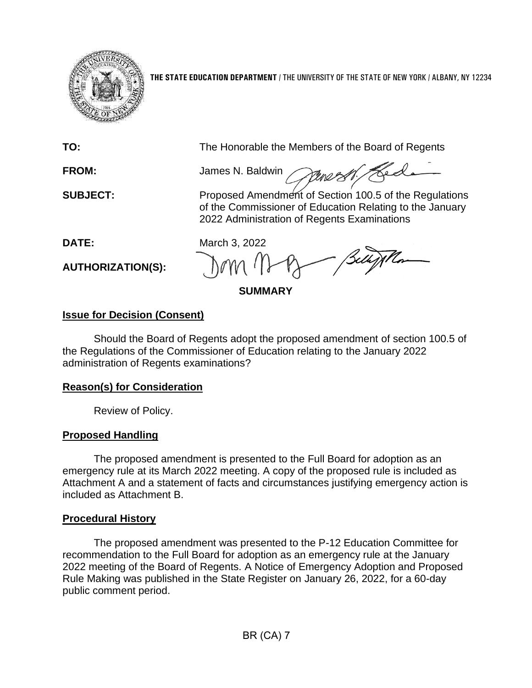

**THE STATE EDUCATION DEPARTMENT** / THE UNIVERSITY OF THE STATE OF NEW YORK / ALBANY, NY 12234

**TO:** The Honorable the Members of the Board of Regents

Hed **FROM:** James N. Baldwin

**SUBJECT:** Proposed Amendment of Section 100.5 of the Regulations of the Commissioner of Education Relating to the January 2022 Administration of Regents Examinations

**AUTHORIZATION(S):**

**DATE:** March 3, 2022

**SUMMARY**

# **Issue for Decision (Consent)**

Should the Board of Regents adopt the proposed amendment of section 100.5 of the Regulations of the Commissioner of Education relating to the January 2022 administration of Regents examinations?

# **Reason(s) for Consideration**

Review of Policy.

# **Proposed Handling**

The proposed amendment is presented to the Full Board for adoption as an emergency rule at its March 2022 meeting. A copy of the proposed rule is included as Attachment A and a statement of facts and circumstances justifying emergency action is included as Attachment B.

# **Procedural History**

The proposed amendment was presented to the P-12 Education Committee for recommendation to the Full Board for adoption as an emergency rule at the January 2022 meeting of the Board of Regents. A Notice of Emergency Adoption and Proposed Rule Making was published in the State Register on January 26, 2022, for a 60-day public comment period.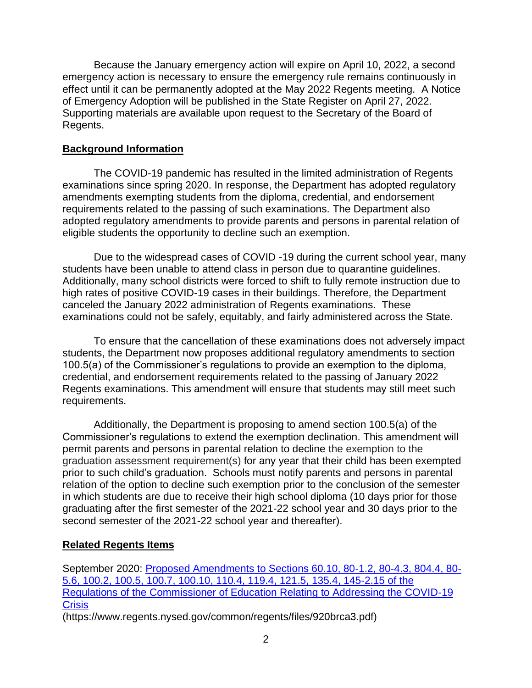Because the January emergency action will expire on April 10, 2022, a second emergency action is necessary to ensure the emergency rule remains continuously in effect until it can be permanently adopted at the May 2022 Regents meeting. A Notice of Emergency Adoption will be published in the State Register on April 27, 2022. Supporting materials are available upon request to the Secretary of the Board of Regents.

#### **Background Information**

The COVID-19 pandemic has resulted in the limited administration of Regents examinations since spring 2020. In response, the Department has adopted regulatory amendments exempting students from the diploma, credential, and endorsement requirements related to the passing of such examinations. The Department also adopted regulatory amendments to provide parents and persons in parental relation of eligible students the opportunity to decline such an exemption.

Due to the widespread cases of COVID -19 during the current school year, many students have been unable to attend class in person due to quarantine guidelines. Additionally, many school districts were forced to shift to fully remote instruction due to high rates of positive COVID-19 cases in their buildings. Therefore, the Department canceled the January 2022 administration of Regents examinations. These examinations could not be safely, equitably, and fairly administered across the State.

To ensure that the cancellation of these examinations does not adversely impact students, the Department now proposes additional regulatory amendments to section 100.5(a) of the Commissioner's regulations to provide an exemption to the diploma, credential, and endorsement requirements related to the passing of January 2022 Regents examinations. This amendment will ensure that students may still meet such requirements.

Additionally, the Department is proposing to amend section 100.5(a) of the Commissioner's regulations to extend the exemption declination. This amendment will permit parents and persons in parental relation to decline the exemption to the graduation assessment requirement(s) for any year that their child has been exempted prior to such child's graduation. Schools must notify parents and persons in parental relation of the option to decline such exemption prior to the conclusion of the semester in which students are due to receive their high school diploma (10 days prior for those graduating after the first semester of the 2021-22 school year and 30 days prior to the second semester of the 2021-22 school year and thereafter).

## **Related Regents Items**

September 2020: [Proposed Amendments to Sections 60.10, 80-1.2, 80-4.3, 804.4, 80-](https://www.regents.nysed.gov/common/regents/files/920brca3.pdf) [5.6, 100.2, 100.5, 100.7, 100.10, 110.4, 119.4, 121.5, 135.4, 145-2.15 of the](https://www.regents.nysed.gov/common/regents/files/920brca3.pdf)  [Regulations of the Commissioner of Education Relating to Addressing the COVID-19](https://www.regents.nysed.gov/common/regents/files/920brca3.pdf)  **[Crisis](https://www.regents.nysed.gov/common/regents/files/920brca3.pdf)** 

(https://www.regents.nysed.gov/common/regents/files/920brca3.pdf)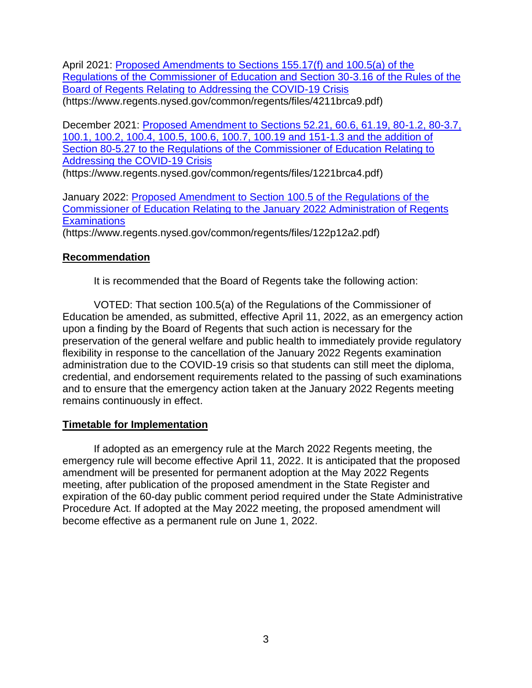April 2021: Proposed Amendments to Sections 155.17(f) and 100.5(a) of the [Regulations of the Commissioner of Education and Section 30-3.16 of the Rules of the](https://www.regents.nysed.gov/common/regents/files/4211brca9.pdf)  [Board of Regents Relating to Addressing the COVID-19 Crisis](https://www.regents.nysed.gov/common/regents/files/4211brca9.pdf) (https://www.regents.nysed.gov/common/regents/files/4211brca9.pdf)

December 2021: [Proposed Amendment to Sections 52.21, 60.6, 61.19, 80-1.2, 80-3.7,](https://www.regents.nysed.gov/common/regents/files/1221brca4.pdf)  [100.1, 100.2, 100.4, 100.5, 100.6, 100.7, 100.19 and 151-1.3 and the addition of](https://www.regents.nysed.gov/common/regents/files/1221brca4.pdf)  [Section 80-5.27 to the Regulations of the Commissioner of Education Relating to](https://www.regents.nysed.gov/common/regents/files/1221brca4.pdf)  [Addressing the COVID-19 Crisis](https://www.regents.nysed.gov/common/regents/files/1221brca4.pdf)

(https://www.regents.nysed.gov/common/regents/files/1221brca4.pdf)

January 2022: [Proposed Amendment to Section 100.5 of the Regulations of the](https://www.regents.nysed.gov/common/regents/files/122p12a2.pdf)  [Commissioner of Education Relating to the January 2022 Administration of Regents](https://www.regents.nysed.gov/common/regents/files/122p12a2.pdf)  **[Examinations](https://www.regents.nysed.gov/common/regents/files/122p12a2.pdf)** 

(https://www.regents.nysed.gov/common/regents/files/122p12a2.pdf)

## **Recommendation**

It is recommended that the Board of Regents take the following action:

VOTED: That section 100.5(a) of the Regulations of the Commissioner of Education be amended, as submitted, effective April 11, 2022, as an emergency action upon a finding by the Board of Regents that such action is necessary for the preservation of the general welfare and public health to immediately provide regulatory flexibility in response to the cancellation of the January 2022 Regents examination administration due to the COVID-19 crisis so that students can still meet the diploma, credential, and endorsement requirements related to the passing of such examinations and to ensure that the emergency action taken at the January 2022 Regents meeting remains continuously in effect.

## **Timetable for Implementation**

If adopted as an emergency rule at the March 2022 Regents meeting, the emergency rule will become effective April 11, 2022. It is anticipated that the proposed amendment will be presented for permanent adoption at the May 2022 Regents meeting, after publication of the proposed amendment in the State Register and expiration of the 60-day public comment period required under the State Administrative Procedure Act. If adopted at the May 2022 meeting, the proposed amendment will become effective as a permanent rule on June 1, 2022.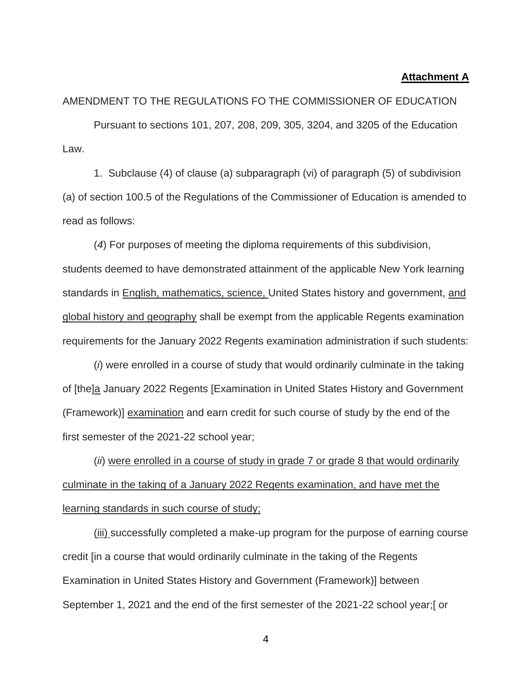#### **Attachment A**

AMENDMENT TO THE REGULATIONS FO THE COMMISSIONER OF EDUCATION

Pursuant to sections 101, 207, 208, 209, 305, 3204, and 3205 of the Education Law.

1. Subclause (4) of clause (a) subparagraph (vi) of paragraph (5) of subdivision (a) of section 100.5 of the Regulations of the Commissioner of Education is amended to read as follows:

(*4*) For purposes of meeting the diploma requirements of this subdivision, students deemed to have demonstrated attainment of the applicable New York learning standards in English, mathematics, science, United States history and government, and global history and geography shall be exempt from the applicable Regents examination requirements for the January 2022 Regents examination administration if such students:

(*i*) were enrolled in a course of study that would ordinarily culminate in the taking of [the]a January 2022 Regents [Examination in United States History and Government (Framework)] examination and earn credit for such course of study by the end of the first semester of the 2021-22 school year;

(*ii*) were enrolled in a course of study in grade 7 or grade 8 that would ordinarily culminate in the taking of a January 2022 Regents examination, and have met the learning standards in such course of study;

(iii) successfully completed a make-up program for the purpose of earning course credit [in a course that would ordinarily culminate in the taking of the Regents Examination in United States History and Government (Framework)] between September 1, 2021 and the end of the first semester of the 2021-22 school year;[ or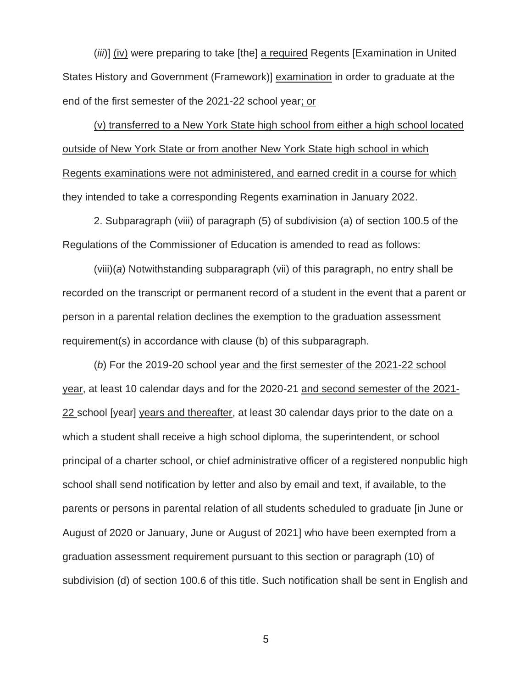(*iii*)] (iv) were preparing to take [the] a required Regents [Examination in United States History and Government (Framework)] examination in order to graduate at the end of the first semester of the 2021-22 school year; or

(v) transferred to a New York State high school from either a high school located outside of New York State or from another New York State high school in which Regents examinations were not administered, and earned credit in a course for which they intended to take a corresponding Regents examination in January 2022.

2. Subparagraph (viii) of paragraph (5) of subdivision (a) of section 100.5 of the Regulations of the Commissioner of Education is amended to read as follows:

(viii)(*a*) Notwithstanding subparagraph (vii) of this paragraph, no entry shall be recorded on the transcript or permanent record of a student in the event that a parent or person in a parental relation declines the exemption to the graduation assessment requirement(s) in accordance with clause (b) of this subparagraph.

(*b*) For the 2019-20 school year and the first semester of the 2021-22 school year, at least 10 calendar days and for the 2020-21 and second semester of the 2021- 22 school [year] years and thereafter, at least 30 calendar days prior to the date on a which a student shall receive a high school diploma, the superintendent, or school principal of a charter school, or chief administrative officer of a registered nonpublic high school shall send notification by letter and also by email and text, if available, to the parents or persons in parental relation of all students scheduled to graduate [in June or August of 2020 or January, June or August of 2021] who have been exempted from a graduation assessment requirement pursuant to this section or paragraph (10) of subdivision (d) of section 100.6 of this title. Such notification shall be sent in English and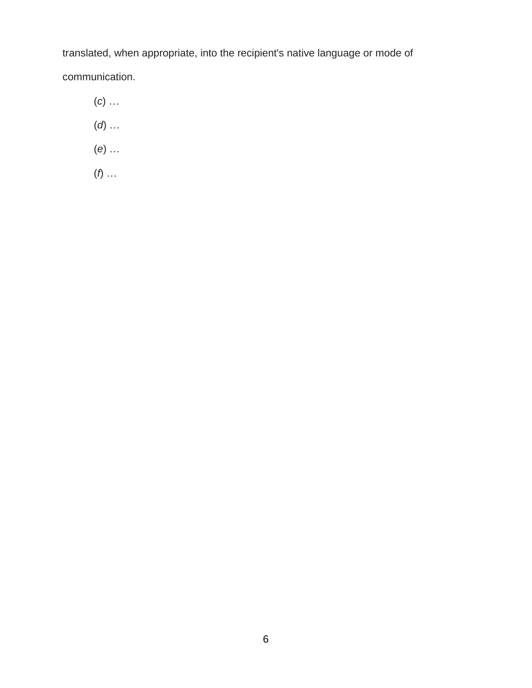translated, when appropriate, into the recipient's native language or mode of communication.

- (*c*) …
- (*d*) …
- (*e*) …
- (*f*) …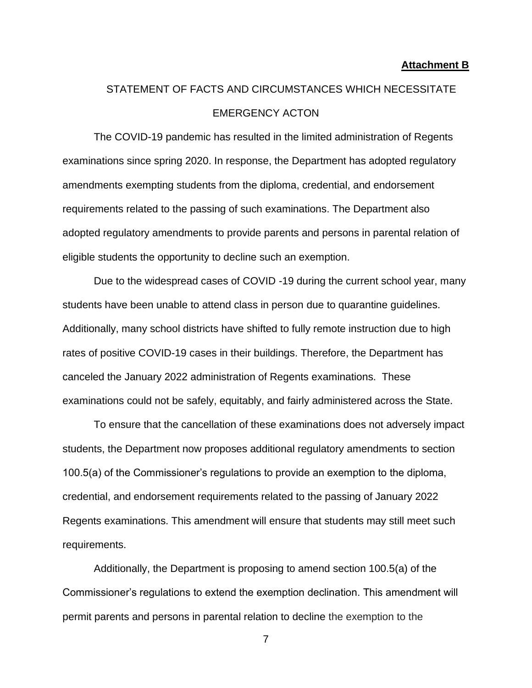#### **Attachment B**

# STATEMENT OF FACTS AND CIRCUMSTANCES WHICH NECESSITATE EMERGENCY ACTON

The COVID-19 pandemic has resulted in the limited administration of Regents examinations since spring 2020. In response, the Department has adopted regulatory amendments exempting students from the diploma, credential, and endorsement requirements related to the passing of such examinations. The Department also adopted regulatory amendments to provide parents and persons in parental relation of eligible students the opportunity to decline such an exemption.

Due to the widespread cases of COVID -19 during the current school year, many students have been unable to attend class in person due to quarantine guidelines. Additionally, many school districts have shifted to fully remote instruction due to high rates of positive COVID-19 cases in their buildings. Therefore, the Department has canceled the January 2022 administration of Regents examinations. These examinations could not be safely, equitably, and fairly administered across the State.

To ensure that the cancellation of these examinations does not adversely impact students, the Department now proposes additional regulatory amendments to section 100.5(a) of the Commissioner's regulations to provide an exemption to the diploma, credential, and endorsement requirements related to the passing of January 2022 Regents examinations. This amendment will ensure that students may still meet such requirements.

Additionally, the Department is proposing to amend section 100.5(a) of the Commissioner's regulations to extend the exemption declination. This amendment will permit parents and persons in parental relation to decline the exemption to the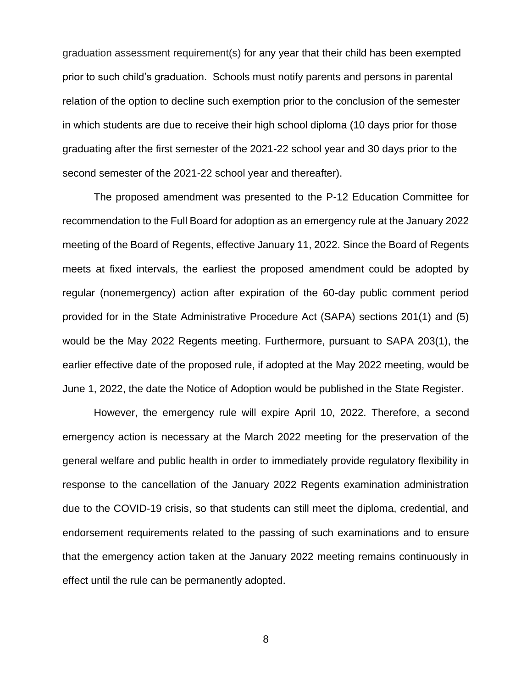graduation assessment requirement(s) for any year that their child has been exempted prior to such child's graduation. Schools must notify parents and persons in parental relation of the option to decline such exemption prior to the conclusion of the semester in which students are due to receive their high school diploma (10 days prior for those graduating after the first semester of the 2021-22 school year and 30 days prior to the second semester of the 2021-22 school year and thereafter).

The proposed amendment was presented to the P-12 Education Committee for recommendation to the Full Board for adoption as an emergency rule at the January 2022 meeting of the Board of Regents, effective January 11, 2022. Since the Board of Regents meets at fixed intervals, the earliest the proposed amendment could be adopted by regular (nonemergency) action after expiration of the 60-day public comment period provided for in the State Administrative Procedure Act (SAPA) sections 201(1) and (5) would be the May 2022 Regents meeting. Furthermore, pursuant to SAPA 203(1), the earlier effective date of the proposed rule, if adopted at the May 2022 meeting, would be June 1, 2022, the date the Notice of Adoption would be published in the State Register.

However, the emergency rule will expire April 10, 2022. Therefore, a second emergency action is necessary at the March 2022 meeting for the preservation of the general welfare and public health in order to immediately provide regulatory flexibility in response to the cancellation of the January 2022 Regents examination administration due to the COVID-19 crisis, so that students can still meet the diploma, credential, and endorsement requirements related to the passing of such examinations and to ensure that the emergency action taken at the January 2022 meeting remains continuously in effect until the rule can be permanently adopted.